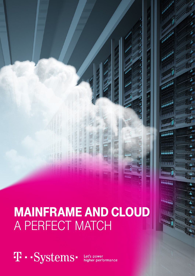

# MAINFRAME AND CLOUD A PERFECT MATCH

**1** . . Systems .

Let's power<br>higher performance